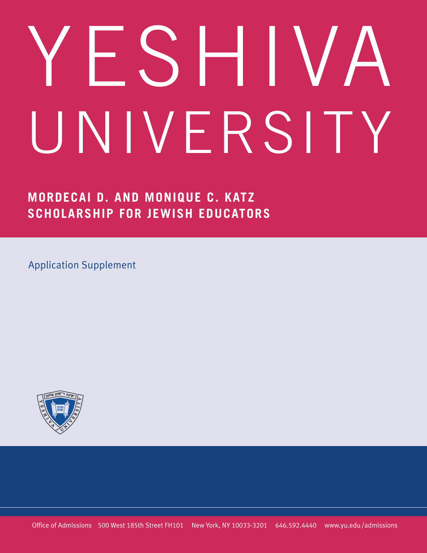# YESHIVA UNIVERSITY

**MORDECAI D. AND MONIQUE C. KATZ SCHOLARSHIP FOR JEWISH EDUCATORS**

Application Supplement

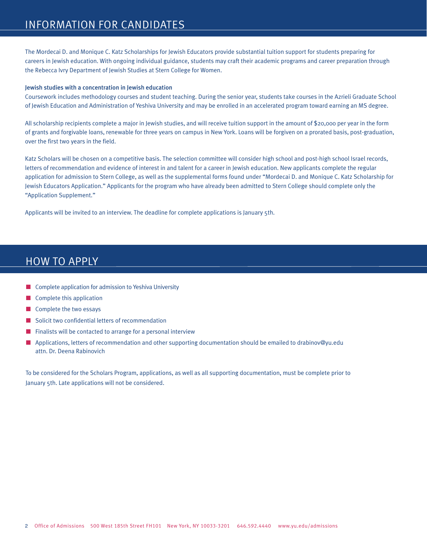# INFORMATION FOR CANDIDATES

The Mordecai D. and Monique C. Katz Scholarships for Jewish Educators provide substantial tuition support for students preparing for careers in Jewish education. With ongoing individual guidance, students may craft their academic programs and career preparation through the Rebecca Ivry Department of Jewish Studies at Stern College for Women.

#### Jewish studies with a concentration in Jewish education

Coursework includes methodology courses and student teaching. During the senior year, students take courses in the Azrieli Graduate School of Jewish Education and Administration of Yeshiva University and may be enrolled in an accelerated program toward earning an MS degree.

All scholarship recipients complete a major in Jewish studies, and will receive tuition support in the amount of \$20,000 per year in the form of grants and forgivable loans, renewable for three years on campus in New York. Loans will be forgiven on a prorated basis, post-graduation, over the first two years in the field.

Katz Scholars will be chosen on a competitive basis. The selection committee will consider high school and post-high school Israel records, letters of recommendation and evidence of interest in and talent for a career in Jewish education. New applicants complete the regular application for admission to Stern College, as well as the supplemental forms found under "Mordecai D. and Monique C. Katz Scholarship for Jewish Educators Application." Applicants for the program who have already been admitted to Stern College should complete only the "Application Supplement."

Applicants will be invited to an interview. The deadline for complete applications is January 5th.

# HOW TO APPLY

- $\blacksquare$  Complete application for admission to Yeshiva University
- $\blacksquare$  Complete this application
- Complete the two essays
- $\blacksquare$  Solicit two confidential letters of recommendation
- Finalists will be contacted to arrange for a personal interview
- **n** Applications, letters of recommendation and other supporting documentation should be emailed to drabinov@yu.edu attn. Dr. Deena Rabin0vich

To be considered for the Scholars Program, applications, as well as all supporting documentation, must be complete prior to January 5th. Late applications will not be considered.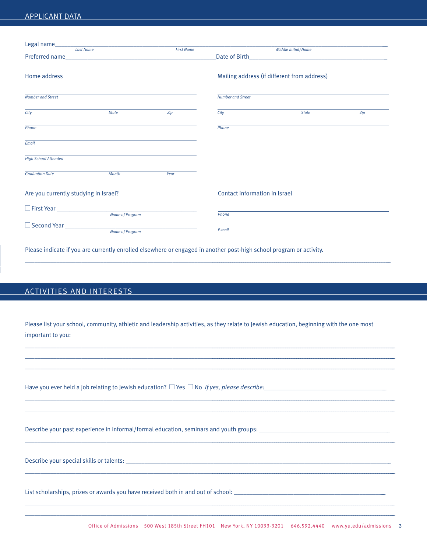## APPLICANT DATA

|                                       |                                             | <b>First Name</b> |                               | Middle Initial/Name                         |     |
|---------------------------------------|---------------------------------------------|-------------------|-------------------------------|---------------------------------------------|-----|
|                                       |                                             |                   |                               |                                             |     |
|                                       |                                             |                   |                               |                                             |     |
| Home address                          |                                             |                   |                               | Mailing address (if different from address) |     |
|                                       |                                             |                   |                               |                                             |     |
|                                       |                                             |                   |                               |                                             |     |
| <b>Number and Street</b>              |                                             |                   | <b>Number and Street</b>      |                                             |     |
|                                       |                                             |                   |                               |                                             |     |
| City                                  | <b>State</b>                                | Zip               | City                          | <b>State</b>                                | Zip |
|                                       |                                             |                   |                               |                                             |     |
| Phone                                 |                                             |                   | Phone                         |                                             |     |
|                                       |                                             |                   |                               |                                             |     |
| Email                                 |                                             |                   |                               |                                             |     |
| <b>High School Attended</b>           |                                             |                   |                               |                                             |     |
|                                       |                                             |                   |                               |                                             |     |
| <b>Graduation Date</b>                | Month                                       | Year              |                               |                                             |     |
|                                       |                                             |                   |                               |                                             |     |
|                                       |                                             |                   |                               |                                             |     |
| Are you currently studying in Israel? |                                             |                   | Contact information in Israel |                                             |     |
|                                       |                                             |                   |                               |                                             |     |
|                                       | First Year <u>Community Name of Program</u> |                   | Phone                         |                                             |     |
|                                       |                                             |                   |                               |                                             |     |
|                                       | Name of Program                             |                   | E-mail                        |                                             |     |
|                                       |                                             |                   |                               |                                             |     |

Please indicate if you are currently enrolled elsewhere or engaged in another post-high school program or activity.

## ACTIVITIES AND INTERESTS

Please list your school, community, athletic and leadership activities, as they relate to Jewish education, beginning with the one most important to you:

 $\mathcal{L} = \{ \mathcal{L} = \{ \mathcal{L} = \{ \mathcal{L} = \{ \mathcal{L} = \{ \mathcal{L} = \{ \mathcal{L} = \{ \mathcal{L} = \{ \mathcal{L} = \{ \mathcal{L} = \{ \mathcal{L} = \{ \mathcal{L} = \{ \mathcal{L} = \{ \mathcal{L} = \{ \mathcal{L} = \{ \mathcal{L} = \{ \mathcal{L} = \{ \mathcal{L} = \{ \mathcal{L} = \{ \mathcal{L} = \{ \mathcal{L} = \{ \mathcal{L} = \{ \mathcal{L} = \{ \mathcal{L} = \{ \mathcal{$ 

Have you ever held a job relating to Jewish education?  $\Box$  Yes  $\Box$  No *If yes, please describe:* 

Describe your past experience in informal/formal education, seminars and youth groups:

Describe your special skills or talents: \_\_\_\_\_\_\_\_\_\_\_\_\_\_\_\_\_\_\_\_\_\_\_\_\_\_\_\_\_\_\_\_\_\_\_\_\_\_\_\_\_\_\_\_\_\_\_\_\_\_\_\_\_\_\_\_\_\_\_\_\_\_\_\_\_\_\_\_\_\_\_\_\_\_\_\_\_\_\_\_\_\_\_\_\_

List scholarships, prizes or awards you have received both in and out of school: \_\_\_\_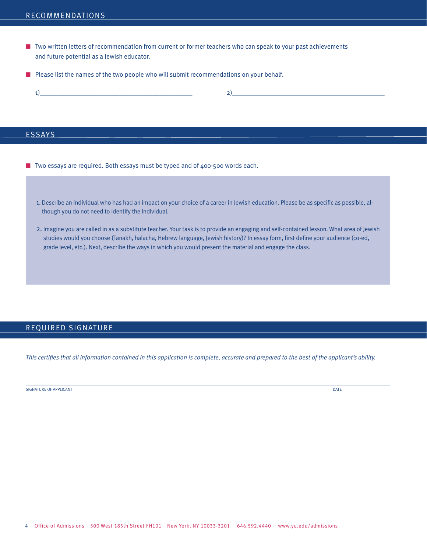- **n** Two written letters of recommendation from current or former teachers who can speak to your past achievements and future potential as a Jewish educator.
- **n** Please list the names of the two people who will submit recommendations on your behalf.

### **ESSAYS**

- $\blacksquare$  Two essays are required. Both essays must be typed and of 400-500 words each.
	- 1. Describe an individual who has had an impact on your choice of a career in Jewish education. Please be as specific as possible, although you do not need to identify the individual.
	- 2. Imagine you are called in as a substitute teacher. Your task is to provide an engaging and self-contained lesson. What area of Jewish studies would you choose (Tanakh, halacha, Hebrew language, Jewish history)? In essay form, first define your audience (co-ed, grade level, etc.). Next, describe the ways in which you would present the material and engage the class.

## REQUIRED SIGNATURE

This certifies that all information contained in this application is complete, accurate and prepared to the best of the applicant's ability.

SIGNATURE OF APPLICANT **DATE**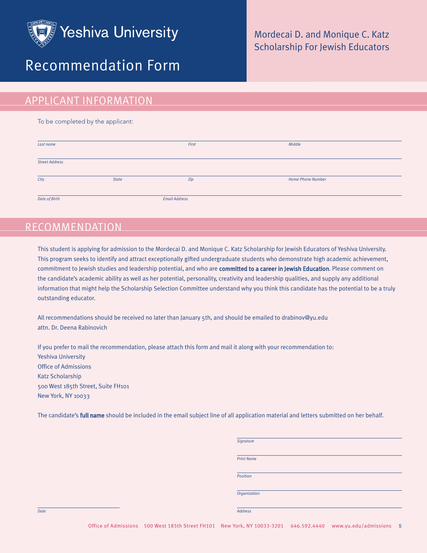

# Recommendation Form

## Mordecai D. and Monique C. Katz Scholarship For Jewish Educators

## APPLICANT INFORMATION

To be completed by the applicant:

| Last name             |              | First                | Middle                   |
|-----------------------|--------------|----------------------|--------------------------|
| <b>Street Address</b> |              |                      |                          |
| City                  | <b>State</b> | Zip                  | <b>Home Phone Number</b> |
| Date of Birth         |              | <b>Email Address</b> |                          |

# RECOMMENDATION

This student is applying for admission to the Mordecai D. and Monique C. Katz Scholarship for Jewish Educators of Yeshiva University. This program seeks to identify and attract exceptionally gifted undergraduate students who demonstrate high academic achievement, commitment to Jewish studies and leadership potential, and who are committed to a career in Jewish Education. Please comment on the candidate's academic ability as well as her potential, personality, creativity and leadership qualities, and supply any additional information that might help the Scholarship Selection Committee understand why you think this candidate has the potential to be a truly outstanding educator.

All recommendations should be received no later than January 5th, and should be emailed to drabinov@yu.edu attn. Dr. Deena Rabin0vich

If you prefer to mail the recommendation, please attach this form and mail it along with your recommendation to: Yeshiva University Office of Admissions Katz Scholarship 500 West 185th Street, Suite FH101 New York, NY 10033

The candidate's full name should be included in the email subject line of all application material and letters submitted on her behalf.

|      | Signature         |
|------|-------------------|
|      |                   |
|      | <b>Print Name</b> |
|      |                   |
|      | Position          |
|      |                   |
|      | Organization      |
|      |                   |
| Date | Address           |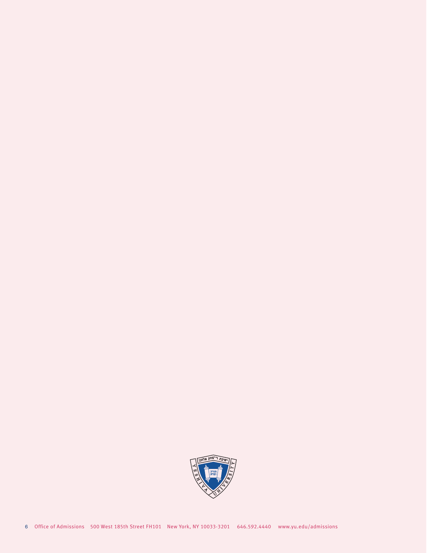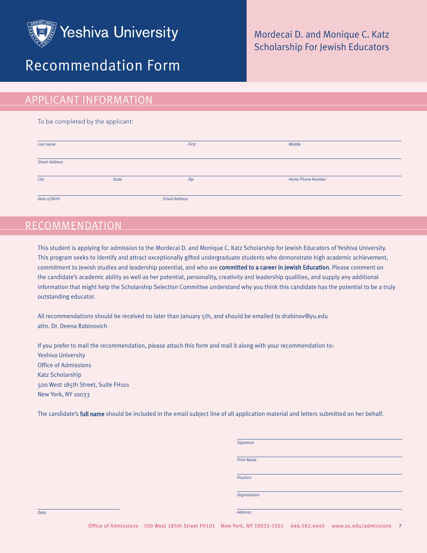

# Recommendation Form

## Mordecai D. and Monique C. Katz Scholarship For Jewish Educators

# APPLICANT INFORMATION

To be completed by the applicant:

| Last name             |              | First                | Middle                   |  |
|-----------------------|--------------|----------------------|--------------------------|--|
| <b>Street Address</b> |              |                      |                          |  |
| City                  | <b>State</b> | Zip                  | <b>Home Phone Number</b> |  |
| Date of Birth         |              | <b>Email Address</b> |                          |  |

# RECOMMENDATION

This student is applying for admission to the Mordecai D. and Monique C. Katz Scholarship for Jewish Educators of Yeshiva University. This program seeks to identify and attract exceptionally gifted undergraduate students who demonstrate high academic achievement, commitment to Jewish studies and leadership potential, and who are committed to a career in Jewish Education. Please comment on the candidate's academic ability as well as her potential, personality, creativity and leadership qualities, and supply any additional information that might help the Scholarship Selection Committee understand why you think this candidate has the potential to be a truly outstanding educator.

All recommendations should be received no later than January 5th, and should be emailed to drabinov@yu.edu attn. Dr. Deena Rabin0vich

If you prefer to mail the recommendation, please attach this form and mail it along with your recommendation to: Yeshiva University Office of Admissions Katz Scholarship 500 West 185th Street, Suite FH101 New York, NY 10033

The candidate's full name should be included in the email subject line of all application material and letters submitted on her behalf.

|      | Signature         |
|------|-------------------|
|      | <b>Print Name</b> |
|      | Position          |
|      | Organization      |
| Date | Address           |